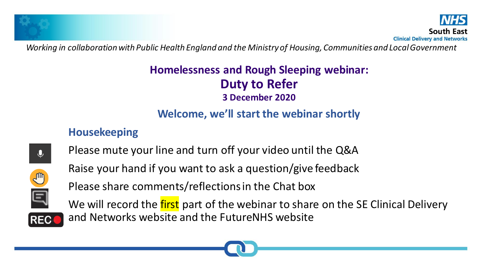



*Working in collaboration with Public Health England and the Ministry of Housing, Communities and Local Government*

#### **Homelessness and Rough Sleeping webinar: Duty to Refer 3 December 2020**

#### **Welcome, we'll start the webinar shortly**

### **Housekeeping**



Please mute your line and turn off your video until the Q&A



- Raise your hand if you want to ask a question/give feedback
- Please share comments/reflections in the Chat box



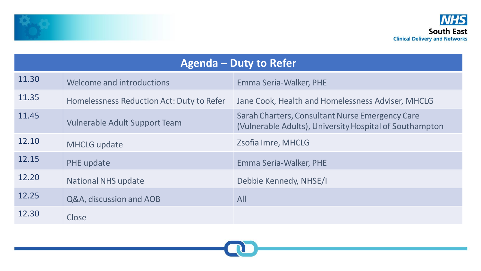



| <b>Agenda - Duty to Refer</b> |                                           |                                                                                                            |
|-------------------------------|-------------------------------------------|------------------------------------------------------------------------------------------------------------|
| 11.30                         | Welcome and introductions                 | Emma Seria-Walker, PHE                                                                                     |
| 11.35                         | Homelessness Reduction Act: Duty to Refer | Jane Cook, Health and Homelessness Adviser, MHCLG                                                          |
| 11.45                         | <b>Vulnerable Adult Support Team</b>      | Sarah Charters, Consultant Nurse Emergency Care<br>(Vulnerable Adults), University Hospital of Southampton |
| 12.10                         | <b>MHCLG update</b>                       | Zsofia Imre, MHCLG                                                                                         |
| 12.15                         | PHE update                                | Emma Seria-Walker, PHE                                                                                     |
| 12.20                         | <b>National NHS update</b>                | Debbie Kennedy, NHSE/I                                                                                     |
| 12.25                         | Q&A, discussion and AOB                   | All                                                                                                        |
| 12.30                         | Close                                     |                                                                                                            |

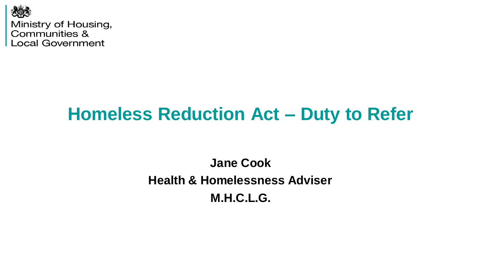

## **Homeless Reduction Act – Duty to Refer**

**Jane Cook Health & Homelessness Adviser M.H.C.L.G.**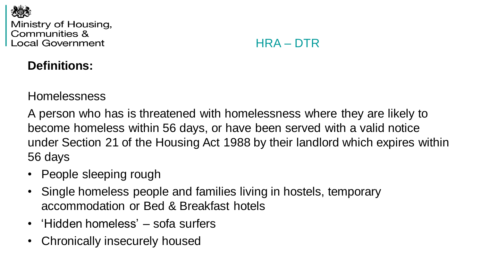

### HRA – DTR

### **Definitions:**

#### Homelessness

A person who has is threatened with homelessness where they are likely to become homeless within 56 days, or have been served with a valid notice under Section 21 of the Housing Act 1988 by their landlord which expires within 56 days

- People sleeping rough
- Single homeless people and families living in hostels, temporary accommodation or Bed & Breakfast hotels
- 'Hidden homeless' sofa surfers
- Chronically insecurely housed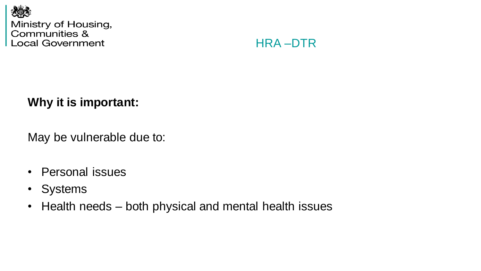



### **Why it is important:**

May be vulnerable due to:

- Personal issues
- Systems
- Health needs both physical and mental health issues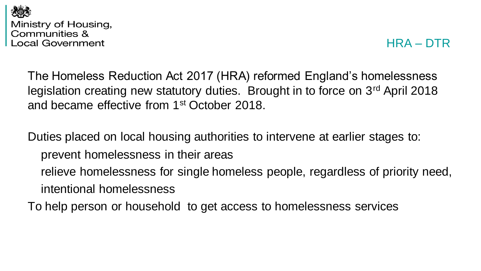

#### HRA – DTR

The Homeless Reduction Act 2017 (HRA) reformed England's homelessness legislation creating new statutory duties. Brought in to force on 3<sup>rd</sup> April 2018 and became effective from 1st October 2018.

Duties placed on local housing authorities to intervene at earlier stages to: prevent homelessness in their areas relieve homelessness for single homeless people, regardless of priority need,

intentional homelessness

To help person or household to get access to homelessness services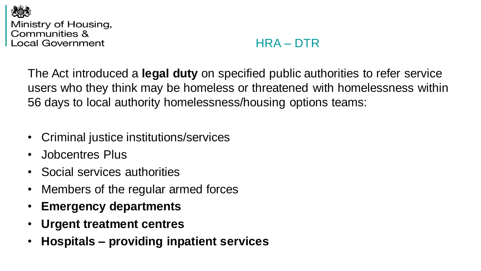

### HRA – DTR

The Act introduced a **legal duty** on specified public authorities to refer service users who they think may be homeless or threatened with homelessness within 56 days to local authority homelessness/housing options teams:

- Criminal justice institutions/services
- Jobcentres Plus
- Social services authorities
- Members of the regular armed forces
- **Emergency departments**
- **Urgent treatment centres**
- **Hospitals – providing inpatient services**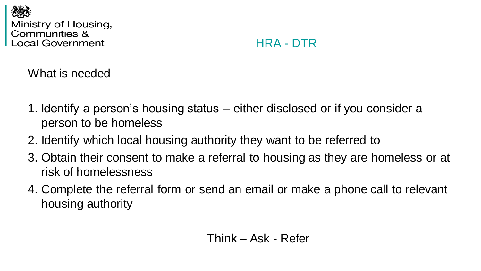

#### HRA - DTR

What is needed

- 1. Identify a person's housing status either disclosed or if you consider a person to be homeless
- 2. Identify which local housing authority they want to be referred to
- 3. Obtain their consent to make a referral to housing as they are homeless or at risk of homelessness
- 4. Complete the referral form or send an email or make a phone call to relevant housing authority

Think – Ask - Refer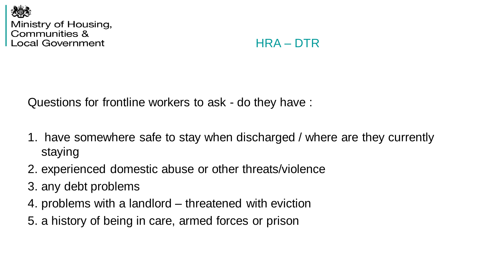

#### HRA – DTR

Questions for frontline workers to ask - do they have :

- 1. have somewhere safe to stay when discharged / where are they currently staying
- 2. experienced domestic abuse or other threats/violence
- 3. any debt problems
- 4. problems with a landlord threatened with eviction
- 5. a history of being in care, armed forces or prison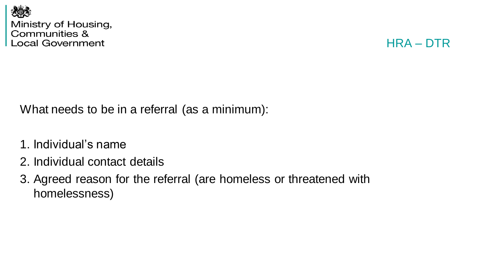

#### HRA – DTR

What needs to be in a referral (as a minimum):

- 1. Individual's name
- 2. Individual contact details
- 3. Agreed reason for the referral (are homeless or threatened with homelessness)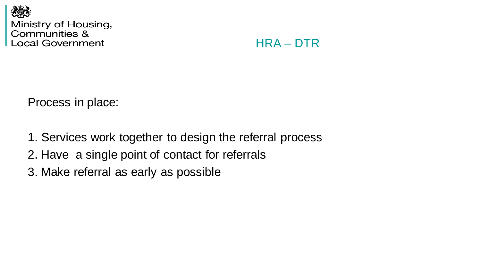

HRA – DTR

Process in place:

1. Services work together to design the referral process 2. Have a single point of contact for referrals 3. Make referral as early as possible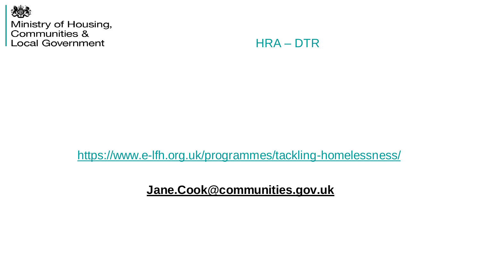

#### HRA – DTR

<https://www.e-lfh.org.uk/programmes/tackling-homelessness/>

**[Jane.Cook@communities.gov.uk](mailto:Jane.Cook@communities.gov.uk)**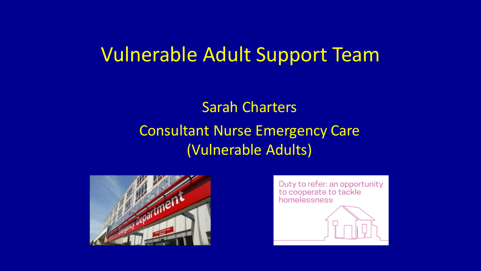## Vulnerable Adult Support Team

Sarah Charters

## Consultant Nurse Emergency Care (Vulnerable Adults)





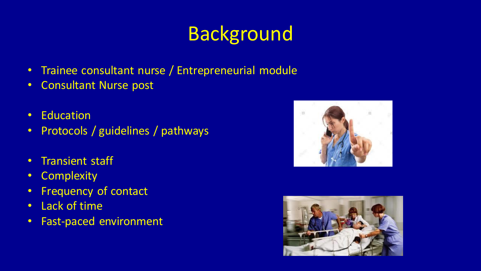## Background

- Trainee consultant nurse / Entrepreneurial module
- Consultant Nurse post
- Education
- Protocols / guidelines / pathways
- Transient staff
- Complexity
- Frequency of contact
- Lack of time
- Fast-paced environment



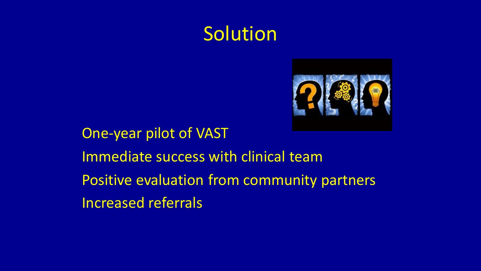## Solution



One-year pilot of VAST

Immediate success with clinical team Positive evaluation from community partners Increased referrals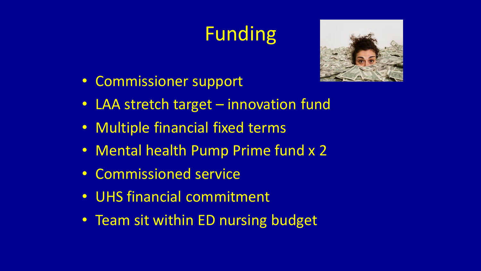## Funding



- Commissioner support
- LAA stretch target innovation fund
- Multiple financial fixed terms
- Mental health Pump Prime fund x 2
- Commissioned service
- UHS financial commitment
- Team sit within ED nursing budget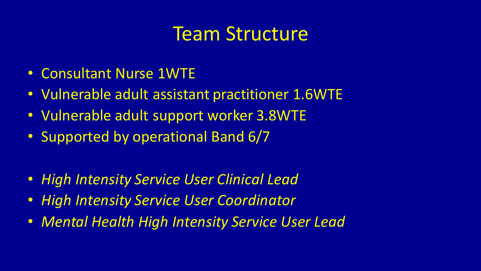## Team Structure

- Consultant Nurse 1WTE
- Vulnerable adult assistant practitioner 1.6WTE
- Vulnerable adult support worker 3.8WTE
- Supported by operational Band 6/7
- *High Intensity Service User Clinical Lead*
- *High Intensity Service User Coordinator*
- *Mental Health High Intensity Service User Lead*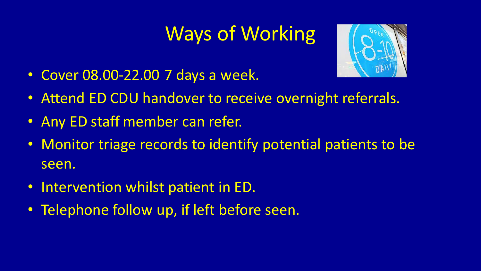## Ways of Working



- Cover 08.00-22.00 7 days a week.
- Attend ED CDU handover to receive overnight referrals.
- Any ED staff member can refer.
- Monitor triage records to identify potential patients to be seen.
- Intervention whilst patient in ED.
- Telephone follow up, if left before seen.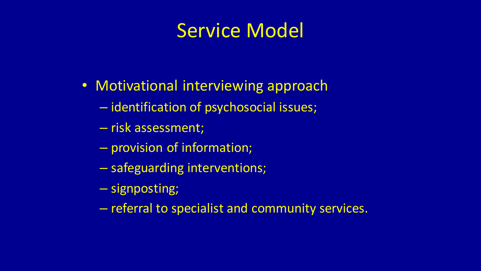## Service Model

- Motivational interviewing approach
	- identification of psychosocial issues;
	- risk assessment;
	- provision of information;
	- safeguarding interventions;
	- signposting;
	- referral to specialist and community services.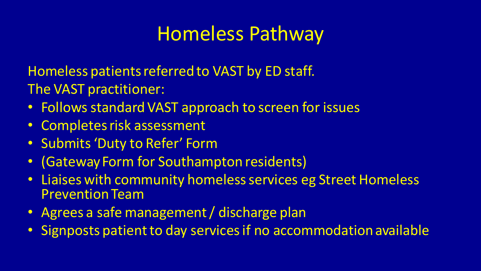## Homeless Pathway

Homeless patients referred to VAST by ED staff. The VAST practitioner:

- Follows standard VAST approach to screen for issues
- Completes risk assessment
- Submits 'Duty to Refer' Form
- (Gateway Form for Southampton residents)
- Liaises with community homeless services eg Street Homeless Prevention Team
- Agrees a safe management / discharge plan
- Signposts patient to day services if no accommodation available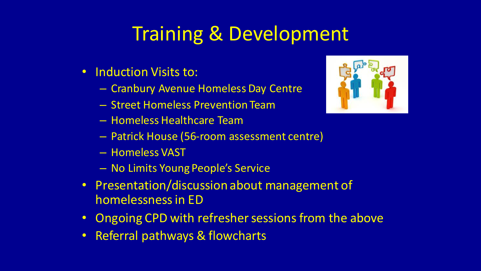## Training & Development

- Induction Visits to:
	- Cranbury Avenue Homeless Day Centre
	- Street Homeless Prevention Team
	- Homeless Healthcare Team
	- Patrick House (56-room assessment centre)
	- Homeless VAST
	- No Limits Young People's Service
- Presentation/discussion about management of homelessness in ED
- Ongoing CPD with refresher sessions from the above
- Referral pathways & flowcharts

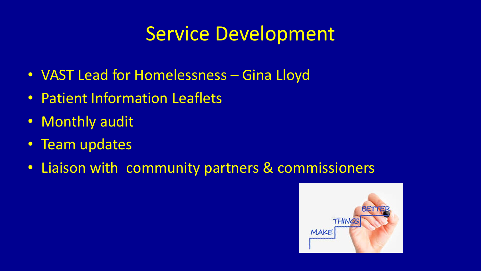## Service Development

- VAST Lead for Homelessness Gina Lloyd
- Patient Information Leaflets
- Monthly audit
- Team updates
- Liaison with community partners & commissioners

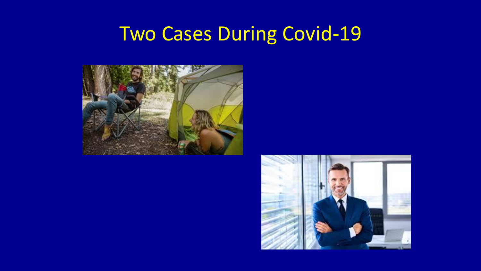## Two Cases During Covid-19



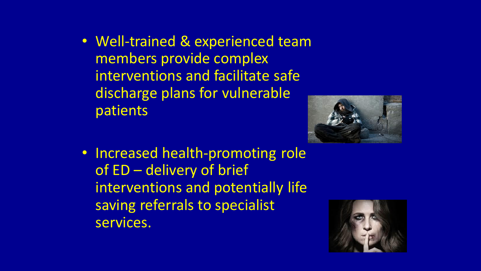• Well-trained & experienced team members provide complex interventions and facilitate safe discharge plans for vulnerable patients



• Increased health-promoting role of ED – delivery of brief interventions and potentially life saving referrals to specialist services.

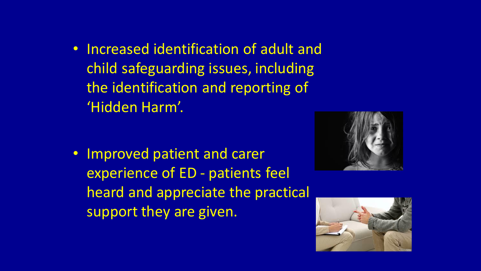• Increased identification of adult and child safeguarding issues, including the identification and reporting of 'Hidden Harm'.

• Improved patient and carer experience of ED - patients feel heard and appreciate the practical support they are given.



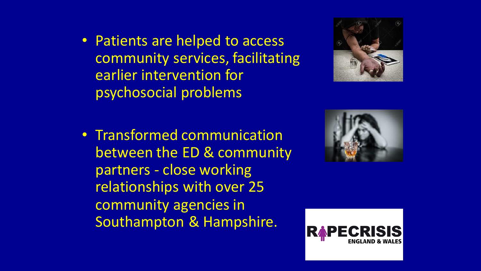• Patients are helped to access community services, facilitating earlier intervention for psychosocial problems



• Transformed communication between the ED & community partners - close working relationships with over 25 community agencies in Southampton & Hampshire.



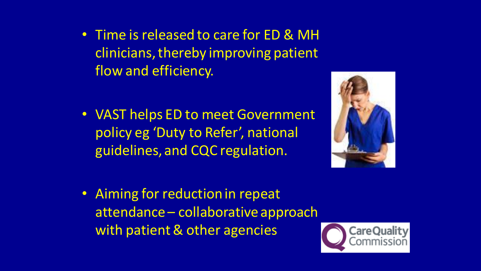• Time is released to care for ED & MH clinicians, thereby improving patient flow and efficiency.

• VAST helps ED to meet Government policy eg 'Duty to Refer', national guidelines, and CQC regulation.



• Aiming for reduction in repeat attendance – collaborative approach with patient & other agencies

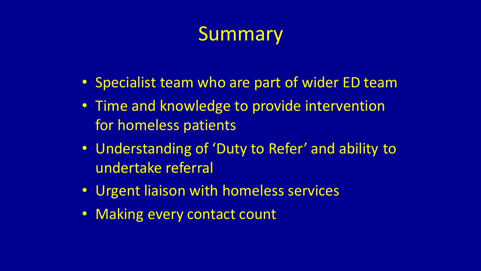## **Summary**

- Specialist team who are part of wider ED team
- Time and knowledge to provide intervention for homeless patients
- Understanding of 'Duty to Refer' and ability to undertake referral
- Urgent liaison with homeless services
- Making every contact count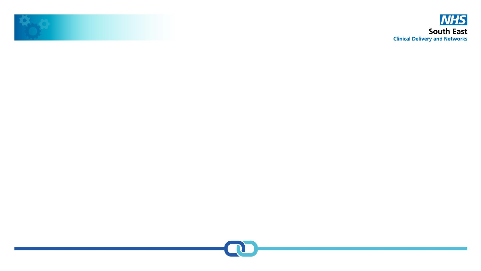



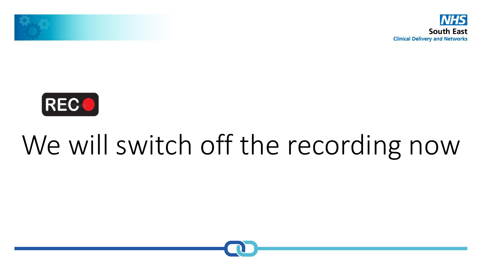





# We will switch off the recording now

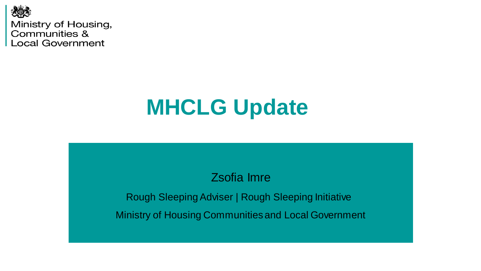

## **MHCLG Update**

### Zsofia Imre

Rough Sleeping Adviser | Rough Sleeping Initiative Ministry of Housing Communities and Local Government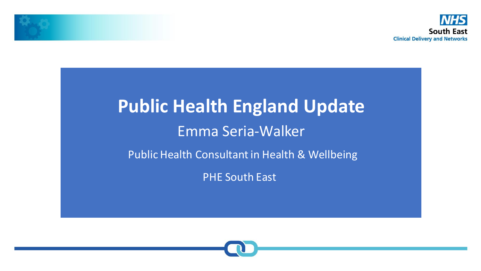



## **Public Health England Update** Emma Seria-Walker Public Health Consultant in Health & Wellbeing PHE South East

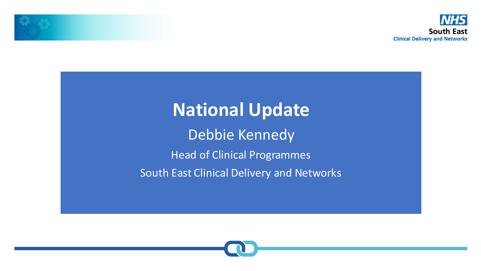



## **National Update** Debbie Kennedy Head of Clinical Programmes South East Clinical Delivery and Networks

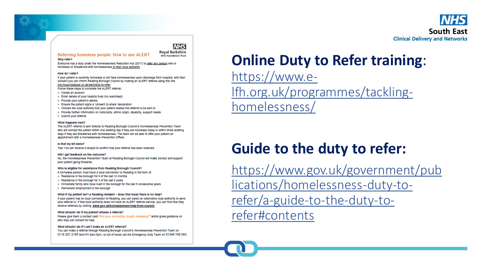

#### **NHS Royal Berkshire NHS Foundation Trust**

Why refer?

Everyone has a duty under the Homelessness Reduction Act (2017) to refer any person who is homeless or threatened with homelessness to their local authority.

#### How do I rater?

If your patient is currently homeless or will face homelessness upon discharge from hospital, with their consent you can inform Reading Borough Council by making an ALERT referral using this link live.housingjigsaw.co.uk/alert/duty-to-refer

Follow these steps to complete the ALERT referral:

- $\triangleright$  Create an account
- > Enter details of your hospital trust (inc ward/dept)
- > Provide your patient's details
- > Ensure the patient signs a 'consent to share' declaration
- > Choose the local authority that your patient wishes the referral to be sent to

Referring homeless people: How to use ALERT

- > Provide further information on nationality, ethnic origin, disability, support needs
- > Submit your referral

#### What happens next?

The ALERT referral is sent directly to Reading Borough Council's Homelessness Prevention Team who will contact the patient within one working day if they are homeless today or within three working days if they are threatened with homelessness. The team will be able to offer your patient an appointment with a Homelessness Prevention Officer.

Is that my bit done? Yes! You will receive a receipt to confirm that your referral has been received.

#### Will I get feedback on the outcome?

No, the Homelessness Prevention Team at Reading Borough Council will make contact and support your patient going forwards.

#### Who is eligible for assistance from Reading Borough Council?

A homeless person must have a local connection to Reading in the form of:

- > Residence in the borough for 6 of the last 12 months
- > Residence in the borough for 3 of the last 5 years
- > Immediate family who have lived in the borough for the last 5 consecutive years
- > Permanent employment in the borough

#### What if my patient isn't a Reading resident - does that mean there is no help?

If your patient has no local connection to Reading, you can select an alternative local authority to send your referral to. If that local authority does not have an ALERT referral service, you can find how they receive referrals by visiting: www.gov.uk/homelessness-help-from-council

#### What should I do If my patient refuses a referral?

Please give them a contact card 'Are you currently rough sleeping?' which gives guidance on who they can contact for help.

#### What should I do If I can't make an ALERT referral?

You can make a referral through Reading Borough Council's Homelessness Prevention Team on 0118 937 2165 Mon-Fri 9am-5pm; or out of hours call the Emergency Duty Team on 01344 786 543.

### **Online Duty to Refer training**:

https://www.e[lfh.org.uk/programmes/tackling](https://www.e-lfh.org.uk/programmes/tackling-homelessness/)homelessness/

### **Guide to the duty to refer:**

[https://www.gov.uk/government/pub](https://www.gov.uk/government/publications/homelessness-duty-to-refer/a-guide-to-the-duty-to-refer#contents) lications/homelessness-duty-torefer/a-guide-to-the-duty-torefer#contents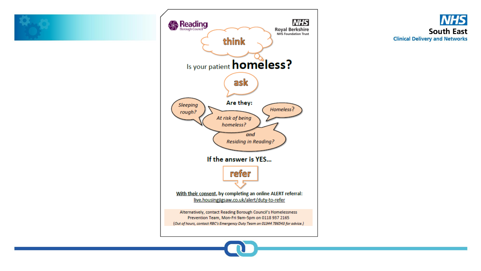

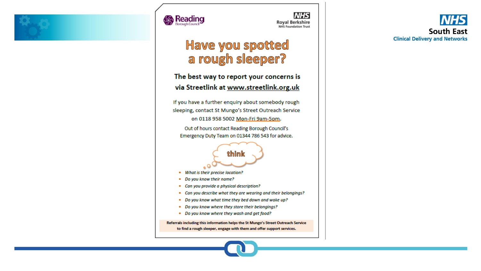



**NHS** Royal Berkshire<br>NHS Foundation Trust

### **Have you spotted** a rough sleeper?

The best way to report your concerns is via Streetlink at www.streetlink.org.uk

If you have a further enquiry about somebody rough sleeping, contact St Mungo's Street Outreach Service on 0118 958 5002 Mon-Fri 9am-5pm.

Out of hours contact Reading Borough Council's Emergency Duty Team on 01344 786 543 for advice.

think

#### What is their precise location?

- Do you know their name?
- Can you provide a physical description?
- Can you describe what they are wearing and their belongings? ۰
- Do you know what time they bed down and wake up?
- Do you know where they store their belongings?
- Do you know where they wash and get food?

Referrals including this information helps the St Mungo's Street Outreach Service to find a rough sleeper, engage with them and offer support services.



**South East Clinical Delivery and Networks**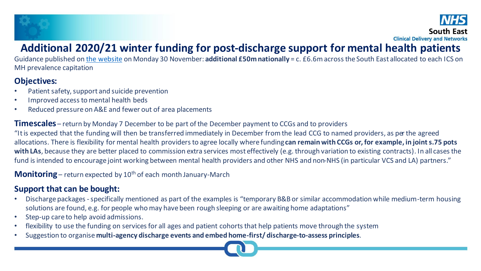

**South East Clinical Delivery and Networks** 

#### **Additional 2020/21 winter funding for post-discharge support for mental health patients**

Guidance published on the [website](https://www.england.nhs.uk/coronavirus/publication/letter-responding-to-covid-19-mental-health-learning-disabilities-and-autism/) on Monday 30 November: **additional £50m nationally** = c. £6.6m across the South East allocated to each ICS on MH prevalence capitation

#### **Objectives:**

- Patient safety, support and suicide prevention
- Improved access to mental health beds
- Reduced pressure on A&E and fewer out of area placements

#### **Timescales** – return by Monday 7 December to be part of the December payment to CCGs and to providers

"It is expected that the funding will then be transferred immediately in December from the lead CCG to named providers, as per the agreed allocations. There is flexibility for mental health providers to agree locally where funding **can remain with CCGs or, for example, in joint s.75 pots**  with LAs, because they are better placed to commission extra services most effectively (e.g. through variation to existing contracts). In all cases the fund is intended to encourage joint working between mental health providers and other NHS and non-NHS (in particular VCS and LA) partners."

**Monitoring** – return expected by 10<sup>th</sup> of each month January-March

#### **Support that can be bought:**

- Discharge packages -specifically mentioned as part of the examples is "temporary B&B or similar accommodation while medium-term housing solutions are found, e.g. for people who may have been rough sleeping or are awaiting home adaptations"
- Step-up care to help avoid admissions.
- flexibility to use the funding on services for all ages and patient cohorts that help patients move through the system
- Suggestion to organise **multi-agency discharge events and embed home-first/ discharge-to-assess principles**.

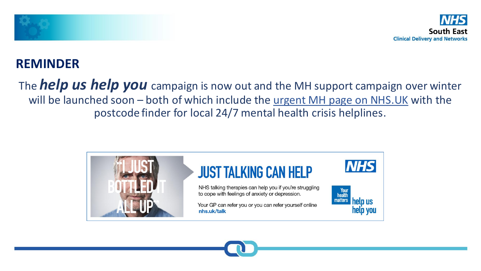



### **REMINDER**

The *help us help you* campaign is now out and the MH support campaign over winter will be launched soon - both of which include the [urgent MH page on NHS.UK](https://www.nhs.uk/using-the-nhs/nhs-services/mental-health-services/where-to-get-urgent-help-for-mental-health/) with the postcode finder for local 24/7 mental health crisis helplines.



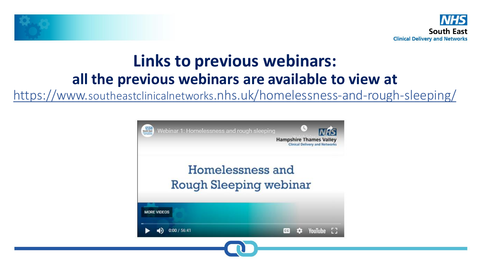



## **Links to previous webinars: all the previous webinars are available to view at**

https://www.southeastclinicalnetworks[.nhs.uk/homelessness-and-rough-sleeping/](https://www.southeastclinicalnetworks.nhs.uk/homelessness-and-rough-sleeping/)

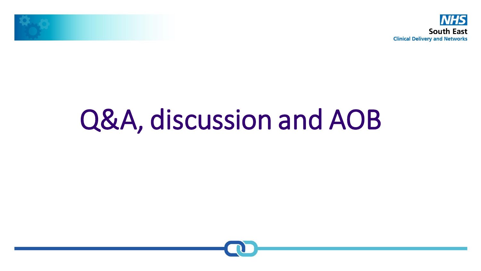



# Q&A, discussion and AOB